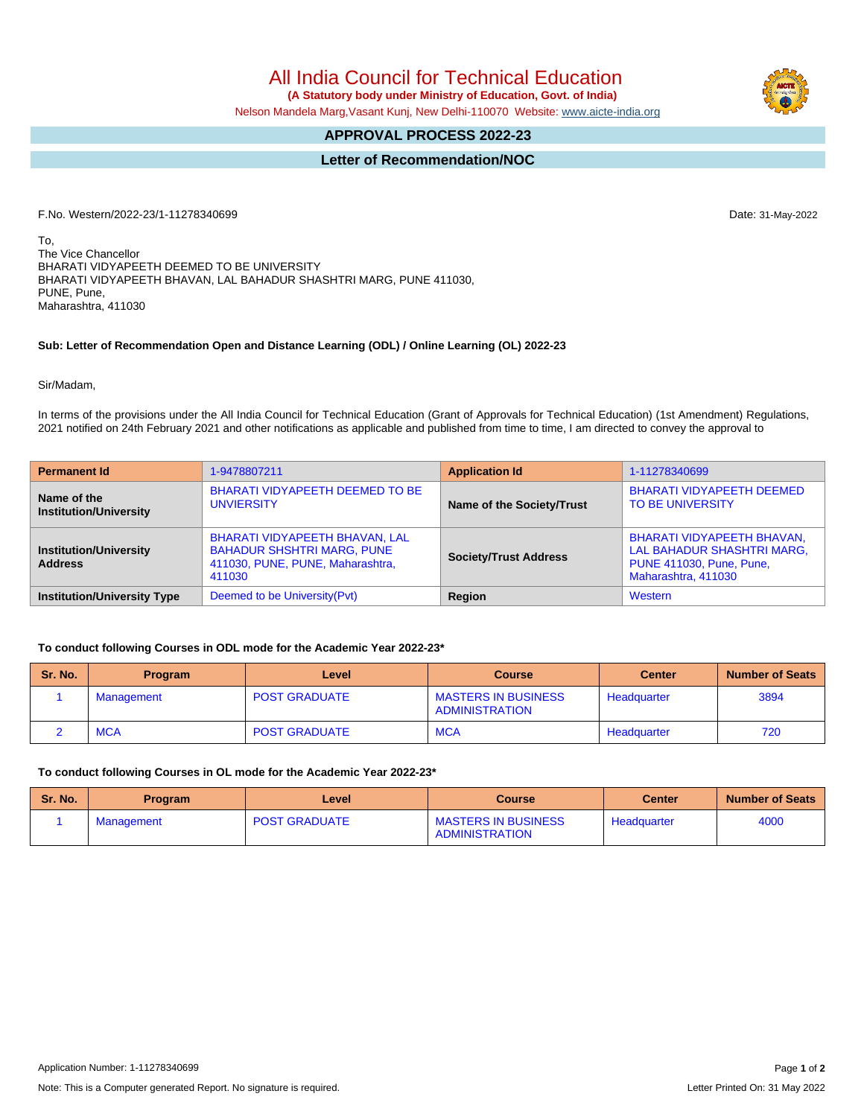All India Council for Technical Education

 **(A Statutory body under Ministry of Education, Govt. of India)** Nelson Mandela Marg,Vasant Kunj, New Delhi-110070 Website: [www.aicte-india.org](http://www.aicte-india.org)

## **APPROVAL PROCESS 2022-23**

# **Letter of Recommendation/NOC**

F.No. Western/2022-23/1-11278340699 Date: 31-May-2022

To, The Vice Chancellor BHARATI VIDYAPEETH DEEMED TO BE UNIVERSITY BHARATI VIDYAPEETH BHAVAN, LAL BAHADUR SHASHTRI MARG, PUNE 411030, PUNE, Pune, Maharashtra, 411030

#### **Sub: Letter of Recommendation Open and Distance Learning (ODL) / Online Learning (OL) 2022-23**

Sir/Madam,

In terms of the provisions under the All India Council for Technical Education (Grant of Approvals for Technical Education) (1st Amendment) Regulations, 2021 notified on 24th February 2021 and other notifications as applicable and published from time to time, I am directed to convey the approval to

| <b>Permanent Id</b>                             | 1-9478807211                                                                                                             | <b>Application Id</b>        | 1-11278340699                                                                                                             |  |  |
|-------------------------------------------------|--------------------------------------------------------------------------------------------------------------------------|------------------------------|---------------------------------------------------------------------------------------------------------------------------|--|--|
| Name of the<br><b>Institution/University</b>    | BHARATI VIDYAPEETH DEEMED TO BE<br><b>UNVIERSITY</b>                                                                     | Name of the Society/Trust    | <b>BHARATI VIDYAPEETH DEEMED</b><br><b>TO BE UNIVERSITY</b>                                                               |  |  |
| <b>Institution/University</b><br><b>Address</b> | <b>BHARATI VIDYAPEETH BHAVAN, LAL</b><br><b>BAHADUR SHSHTRI MARG, PUNE</b><br>411030, PUNE, PUNE, Maharashtra,<br>411030 | <b>Society/Trust Address</b> | <b>BHARATI VIDYAPEETH BHAVAN,</b><br>LAL BAHADUR SHASHTRI MARG,<br><b>PUNE 411030, Pune, Pune,</b><br>Maharashtra, 411030 |  |  |
| <b>Institution/University Type</b>              | Deemed to be University (Pvt)                                                                                            | Region                       | Western                                                                                                                   |  |  |

#### **To conduct following Courses in ODL mode for the Academic Year 2022-23\***

| Sr. No. | <b>Program</b> | Level                | <b>Course</b>                                       | <b>Center</b> | <b>Number of Seats</b> |
|---------|----------------|----------------------|-----------------------------------------------------|---------------|------------------------|
|         | Management     | <b>POST GRADUATE</b> | <b>MASTERS IN BUSINESS</b><br><b>ADMINISTRATION</b> | Headquarter   | 3894                   |
|         | <b>MCA</b>     | <b>POST GRADUATE</b> | <b>MCA</b>                                          | Headquarter   | 720                    |

## **To conduct following Courses in OL mode for the Academic Year 2022-23\***

| Sr. No. | <b>Program</b> | Level                | <b>Course</b>                                | <b>Center</b> | <b>Number of Seats</b> |
|---------|----------------|----------------------|----------------------------------------------|---------------|------------------------|
|         | Management     | <b>POST GRADUATE</b> | <b>MASTERS IN BUSINESS</b><br>ADMINISTRATION | Headquarter   | 4000                   |